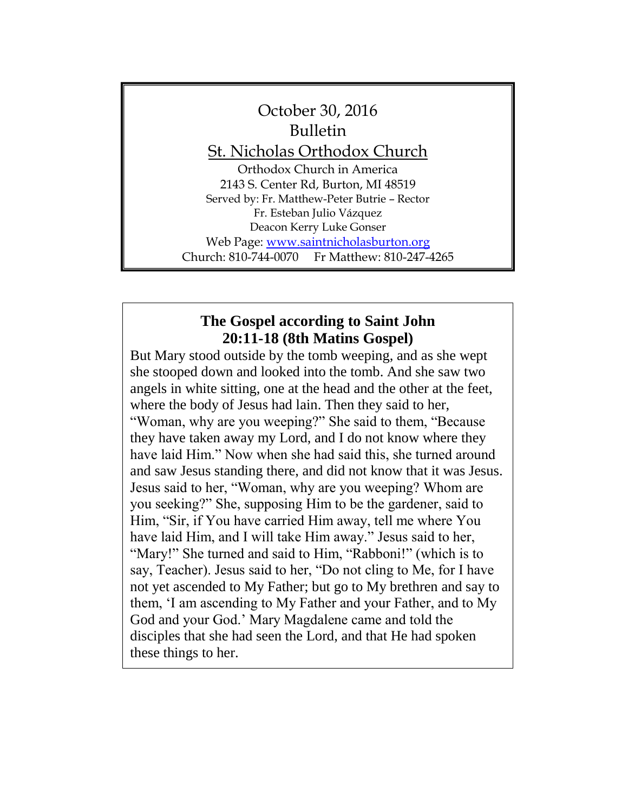| October 30, 2016                              |  |  |
|-----------------------------------------------|--|--|
| <b>Bulletin</b>                               |  |  |
| St. Nicholas Orthodox Church                  |  |  |
| Orthodox Church in America                    |  |  |
| 2143 S. Center Rd, Burton, MI 48519           |  |  |
| Served by: Fr. Matthew-Peter Butrie - Rector  |  |  |
| Fr. Esteban Julio Vázquez                     |  |  |
| Deacon Kerry Luke Gonser                      |  |  |
| Web Page: www.saintnicholasburton.org         |  |  |
| Church: 810-744-0070 Fr Matthew: 810-247-4265 |  |  |

# **The Gospel according to Saint John 20:11-18 (8th Matins Gospel)**

But Mary stood outside by the tomb weeping, and as she wept she stooped down and looked into the tomb. And she saw two angels in white sitting, one at the head and the other at the feet, where the body of Jesus had lain. Then they said to her, "Woman, why are you weeping?" She said to them, "Because they have taken away my Lord, and I do not know where they have laid Him." Now when she had said this, she turned around and saw Jesus standing there, and did not know that it was Jesus. Jesus said to her, "Woman, why are you weeping? Whom are you seeking?" She, supposing Him to be the gardener, said to Him, "Sir, if You have carried Him away, tell me where You have laid Him, and I will take Him away." Jesus said to her, "Mary!" She turned and said to Him, "Rabboni!" (which is to say, Teacher). Jesus said to her, "Do not cling to Me, for I have not yet ascended to My Father; but go to My brethren and say to them, 'I am ascending to My Father and your Father, and to My God and your God.' Mary Magdalene came and told the disciples that she had seen the Lord, and that He had spoken these things to her.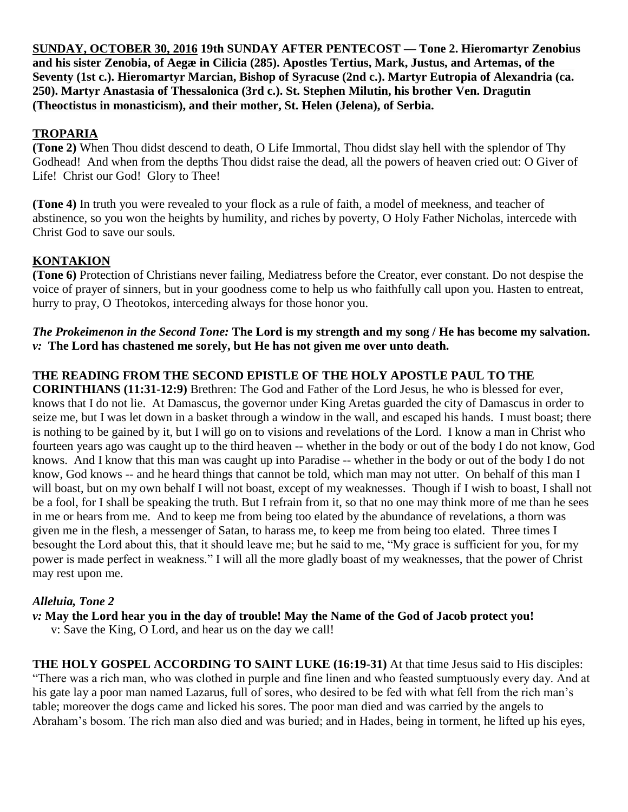**SUNDAY, OCTOBER 30, 2016 19th SUNDAY AFTER PENTECOST — Tone 2. Hieromartyr Zenobius and his sister Zenobia, of Aegæ in Cilicia (285). Apostles Tertius, Mark, Justus, and Artemas, of the Seventy (1st c.). Hieromartyr Marcian, Bishop of Syracuse (2nd c.). Martyr Eutropia of Alexandria (ca. 250). Martyr Anastasia of Thessalonica (3rd c.). St. Stephen Milutin, his brother Ven. Dragutin (Theoctistus in monasticism), and their mother, St. Helen (Jelena), of Serbia.**

# **TROPARIA**

**(Tone 2)** When Thou didst descend to death, O Life Immortal, Thou didst slay hell with the splendor of Thy Godhead! And when from the depths Thou didst raise the dead, all the powers of heaven cried out: O Giver of Life! Christ our God! Glory to Thee!

**(Tone 4)** In truth you were revealed to your flock as a rule of faith, a model of meekness, and teacher of abstinence, so you won the heights by humility, and riches by poverty, O Holy Father Nicholas, intercede with Christ God to save our souls.

# **KONTAKION**

**(Tone 6)** Protection of Christians never failing, Mediatress before the Creator, ever constant. Do not despise the voice of prayer of sinners, but in your goodness come to help us who faithfully call upon you. Hasten to entreat, hurry to pray, O Theotokos, interceding always for those honor you.

*The Prokeimenon in the Second Tone:* **The Lord is my strength and my song / He has become my salvation.** *v:* **The Lord has chastened me sorely, but He has not given me over unto death.**

# **THE READING FROM THE SECOND EPISTLE OF THE HOLY APOSTLE PAUL TO THE**

**CORINTHIANS (11:31-12:9)** Brethren: The God and Father of the Lord Jesus, he who is blessed for ever, knows that I do not lie. At Damascus, the governor under King Aretas guarded the city of Damascus in order to seize me, but I was let down in a basket through a window in the wall, and escaped his hands. I must boast; there is nothing to be gained by it, but I will go on to visions and revelations of the Lord. I know a man in Christ who fourteen years ago was caught up to the third heaven -- whether in the body or out of the body I do not know, God knows. And I know that this man was caught up into Paradise -- whether in the body or out of the body I do not know, God knows -- and he heard things that cannot be told, which man may not utter. On behalf of this man I will boast, but on my own behalf I will not boast, except of my weaknesses. Though if I wish to boast, I shall not be a fool, for I shall be speaking the truth. But I refrain from it, so that no one may think more of me than he sees in me or hears from me. And to keep me from being too elated by the abundance of revelations, a thorn was given me in the flesh, a messenger of Satan, to harass me, to keep me from being too elated. Three times I besought the Lord about this, that it should leave me; but he said to me, "My grace is sufficient for you, for my power is made perfect in weakness." I will all the more gladly boast of my weaknesses, that the power of Christ may rest upon me.

### *Alleluia, Tone 2*

*v:* **May the Lord hear you in the day of trouble! May the Name of the God of Jacob protect you!** v: Save the King, O Lord, and hear us on the day we call!

**THE HOLY GOSPEL ACCORDING TO SAINT LUKE (16:19-31)** At that time Jesus said to His disciples: "There was a rich man, who was clothed in purple and fine linen and who feasted sumptuously every day. And at his gate lay a poor man named Lazarus, full of sores, who desired to be fed with what fell from the rich man's table; moreover the dogs came and licked his sores. The poor man died and was carried by the angels to Abraham's bosom. The rich man also died and was buried; and in Hades, being in torment, he lifted up his eyes,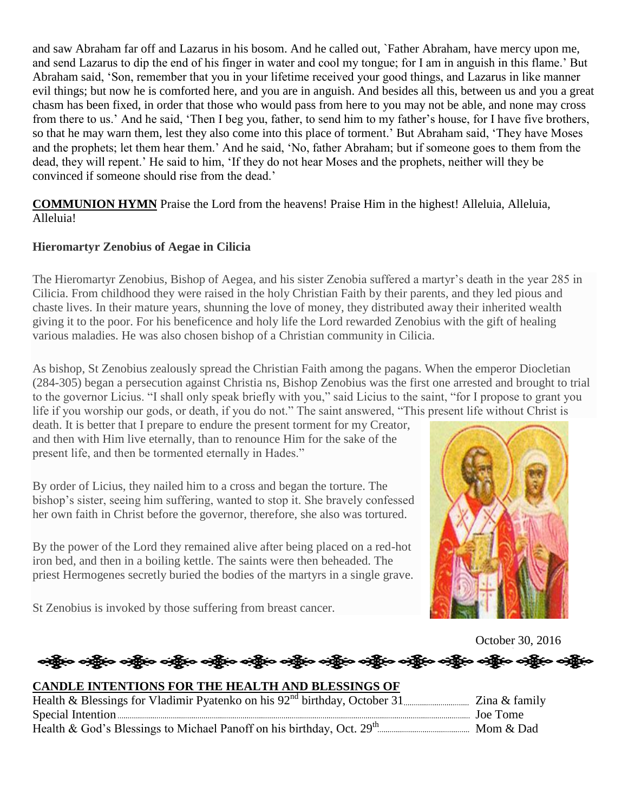and saw Abraham far off and Lazarus in his bosom. And he called out, `Father Abraham, have mercy upon me, and send Lazarus to dip the end of his finger in water and cool my tongue; for I am in anguish in this flame.' But Abraham said, 'Son, remember that you in your lifetime received your good things, and Lazarus in like manner evil things; but now he is comforted here, and you are in anguish. And besides all this, between us and you a great chasm has been fixed, in order that those who would pass from here to you may not be able, and none may cross from there to us.' And he said, 'Then I beg you, father, to send him to my father's house, for I have five brothers, so that he may warn them, lest they also come into this place of torment.' But Abraham said, 'They have Moses and the prophets; let them hear them.' And he said, 'No, father Abraham; but if someone goes to them from the dead, they will repent.' He said to him, 'If they do not hear Moses and the prophets, neither will they be convinced if someone should rise from the dead.'

**COMMUNION HYMN** Praise the Lord from the heavens! Praise Him in the highest! Alleluia, Alleluia, Alleluia!

# **Hieromartyr Zenobius of Aegae in Cilicia**

The Hieromartyr Zenobius, Bishop of Aegea, and his sister Zenobia suffered a martyr's death in the year 285 in Cilicia. From childhood they were raised in the holy Christian Faith by their parents, and they led pious and chaste lives. In their mature years, shunning the love of money, they distributed away their inherited wealth giving it to the poor. For his beneficence and holy life the Lord rewarded Zenobius with the gift of healing various maladies. He was also chosen bishop of a Christian community in Cilicia.

As bishop, St Zenobius zealously spread the Christian Faith among the pagans. When the emperor Diocletian (284-305) began a persecution against Christia ns, Bishop Zenobius was the first one arrested and brought to trial to the governor Licius. "I shall only speak briefly with you," said Licius to the saint, "for I propose to grant you life if you worship our gods, or death, if you do not." The saint answered, "This present life without Christ is

death. It is better that I prepare to endure the present torment for my Creator, and then with Him live eternally, than to renounce Him for the sake of the present life, and then be tormented eternally in Hades."

By order of Licius, they nailed him to a cross and began the torture. The bishop's sister, seeing him suffering, wanted to stop it. She bravely confessed her own faith in Christ before the governor, therefore, she also was tortured.

By the power of the Lord they remained alive after being placed on a red-hot iron bed, and then in a boiling kettle. The saints were then beheaded. The priest Hermogenes secretly buried the bodies of the martyrs in a single grave.

St Zenobius is invoked by those suffering from breast cancer.



October 30, 2016

# **CANDLE INTENTIONS FOR THE HEALTH AND BLESSINGS OF**

| <u>UMBER MIRINISTO I VA IMBILIBIM MIRINDI DE DOMINISTO U</u> |          |
|--------------------------------------------------------------|----------|
|                                                              |          |
|                                                              | Joe Tome |
|                                                              |          |

**ပဏ္ဏိပ ပဏ္ဏိပ ပဏ္ဏိပ ပဏ္ဏိပ ပဏ္ဏိပ ပဏ္ဏိပ ပဏ္ဏိပ ပဏ္ဏိပ ပဏ္ဏိပ ပဏ္ဏိပ**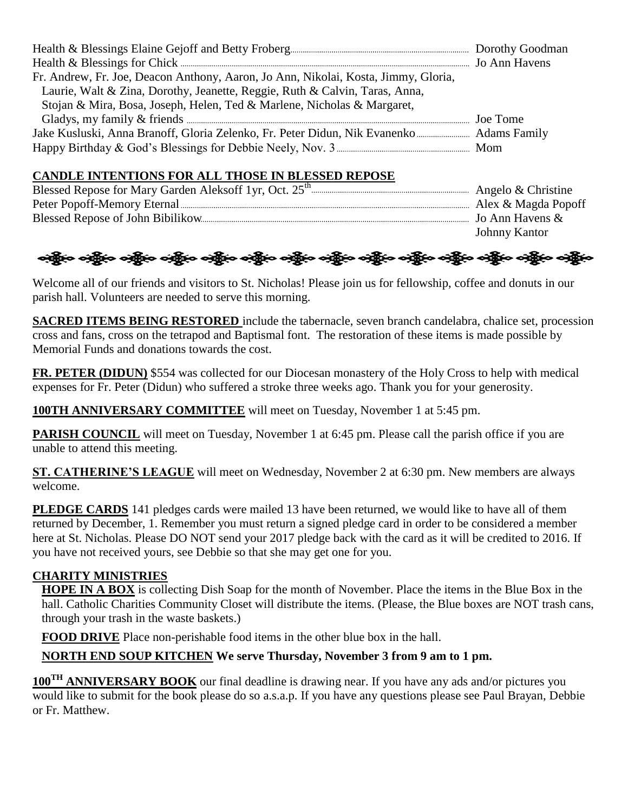| Fr. Andrew, Fr. Joe, Deacon Anthony, Aaron, Jo Ann, Nikolai, Kosta, Jimmy, Gloria, |  |
|------------------------------------------------------------------------------------|--|
| Laurie, Walt & Zina, Dorothy, Jeanette, Reggie, Ruth & Calvin, Taras, Anna,        |  |
| Stojan & Mira, Bosa, Joseph, Helen, Ted & Marlene, Nicholas & Margaret,            |  |
|                                                                                    |  |
|                                                                                    |  |
|                                                                                    |  |

# **CANDLE INTENTIONS FOR ALL THOSE IN BLESSED REPOSE**

| Alex & Magda Popoff |
|---------------------|
|                     |
| Johnny Kantor       |

# ့<br>တန္တီးဝ ဝန္ကြီးဝ ဝန္ကြီးဝ ဝန္ကြီးဝ ဝန္ကြီးဝ ဝန္ကြီးဝ ဝန္ကြီးဝ ဝန္ကြီးဝ ဝန္ကြီးဝ ဝန္ကြီးဝ ဝန္ကြီးဝ ဝန္ကြီးဝ ဝန္

Welcome all of our friends and visitors to St. Nicholas! Please join us for fellowship, coffee and donuts in our parish hall. Volunteers are needed to serve this morning.

**SACRED ITEMS BEING RESTORED** include the tabernacle, seven branch candelabra, chalice set, procession cross and fans, cross on the tetrapod and Baptismal font. The restoration of these items is made possible by Memorial Funds and donations towards the cost.

**FR. PETER (DIDUN)** \$554 was collected for our Diocesan monastery of the Holy Cross to help with medical expenses for Fr. Peter (Didun) who suffered a stroke three weeks ago. Thank you for your generosity.

**100TH ANNIVERSARY COMMITTEE** will meet on Tuesday, November 1 at 5:45 pm.

**PARISH COUNCIL** will meet on Tuesday, November 1 at 6:45 pm. Please call the parish office if you are unable to attend this meeting.

**ST. CATHERINE'S LEAGUE** will meet on Wednesday, November 2 at 6:30 pm. New members are always welcome.

**PLEDGE CARDS** 141 pledges cards were mailed 13 have been returned, we would like to have all of them returned by December, 1. Remember you must return a signed pledge card in order to be considered a member here at St. Nicholas. Please DO NOT send your 2017 pledge back with the card as it will be credited to 2016. If you have not received yours, see Debbie so that she may get one for you.

# **CHARITY MINISTRIES**

**HOPE IN A BOX** is collecting Dish Soap for the month of November. Place the items in the Blue Box in the hall. Catholic Charities Community Closet will distribute the items. (Please, the Blue boxes are NOT trash cans, through your trash in the waste baskets.)

**FOOD DRIVE** Place non-perishable food items in the other blue box in the hall.

# **NORTH END SOUP KITCHEN We serve Thursday, November 3 from 9 am to 1 pm.**

**100TH ANNIVERSARY BOOK** our final deadline is drawing near. If you have any ads and/or pictures you would like to submit for the book please do so a.s.a.p. If you have any questions please see Paul Brayan, Debbie or Fr. Matthew.